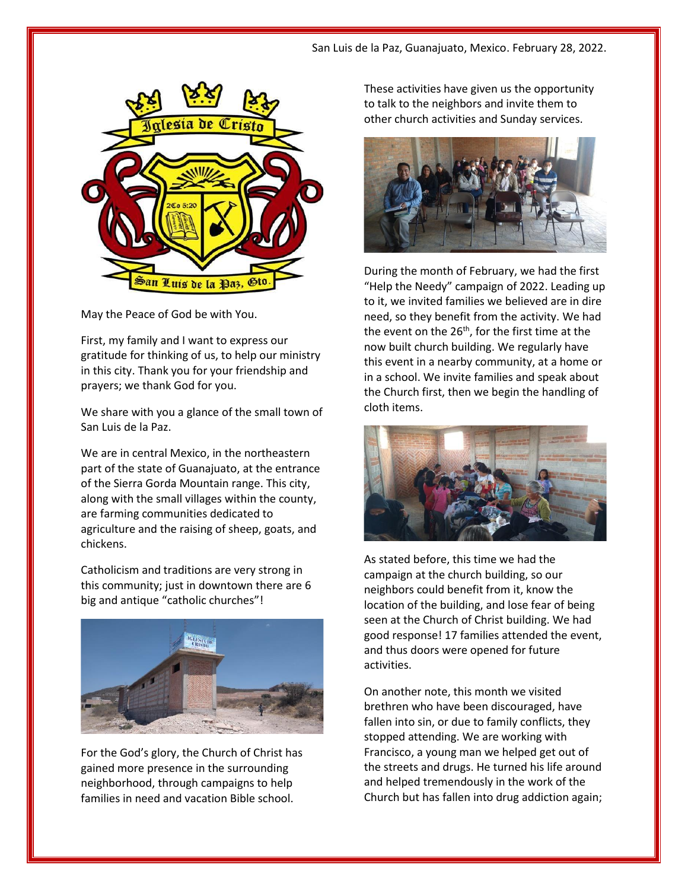

May the Peace of God be with You.

First, my family and I want to express our gratitude for thinking of us, to help our ministry in this city. Thank you for your friendship and prayers; we thank God for you.

We share with you a glance of the small town of San Luis de la Paz.

We are in central Mexico, in the northeastern part of the state of Guanajuato, at the entrance of the Sierra Gorda Mountain range. This city, along with the small villages within the county, are farming communities dedicated to agriculture and the raising of sheep, goats, and chickens.

Catholicism and traditions are very strong in this community; just in downtown there are 6 big and antique "catholic churches"!



For the God's glory, the Church of Christ has gained more presence in the surrounding neighborhood, through campaigns to help families in need and vacation Bible school.

These activities have given us the opportunity to talk to the neighbors and invite them to other church activities and Sunday services.



During the month of February, we had the first "Help the Needy" campaign of 2022. Leading up to it, we invited families we believed are in dire need, so they benefit from the activity. We had the event on the  $26<sup>th</sup>$ , for the first time at the now built church building. We regularly have this event in a nearby community, at a home or in a school. We invite families and speak about the Church first, then we begin the handling of cloth items.



As stated before, this time we had the campaign at the church building, so our neighbors could benefit from it, know the location of the building, and lose fear of being seen at the Church of Christ building. We had good response! 17 families attended the event, and thus doors were opened for future activities.

On another note, this month we visited brethren who have been discouraged, have fallen into sin, or due to family conflicts, they stopped attending. We are working with Francisco, a young man we helped get out of the streets and drugs. He turned his life around and helped tremendously in the work of the Church but has fallen into drug addiction again;